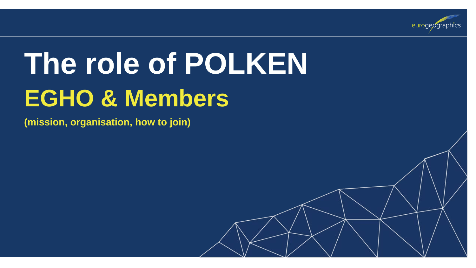

# **The role of POLKEN EGHO & Members**

**(mission, organisation, how to join)**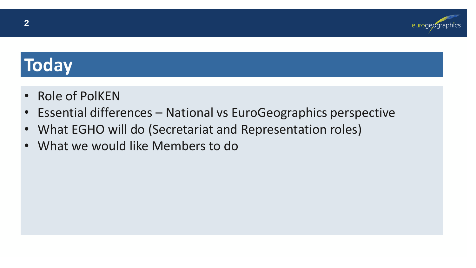

### **Today**

- Role of PolKEN
- Essential differences National vs EuroGeographics perspective
- What EGHO will do (Secretariat and Representation roles)
- What we would like Members to do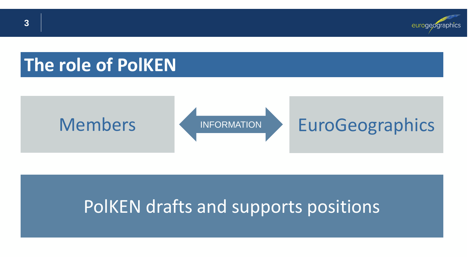

### **The role of PolKEN**





### INFORMATION EuroGeographics

### PolKEN drafts and supports positions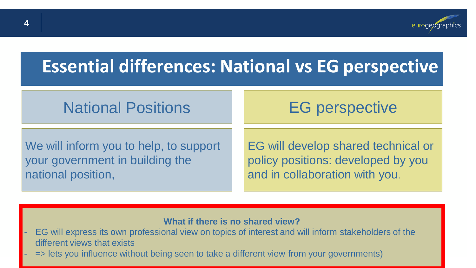

### **Essential differences: National vs EG perspective**

### National Positions

### EG perspective

We will inform you to help, to support your government in building the national position,

EG will develop shared technical or policy positions: developed by you and in collaboration with you.

### **What if there is no shared view?**

- EG will express its own professional view on topics of interest and will inform stakeholders of the different views that exists
- => lets you influence without being seen to take a different view from your governments)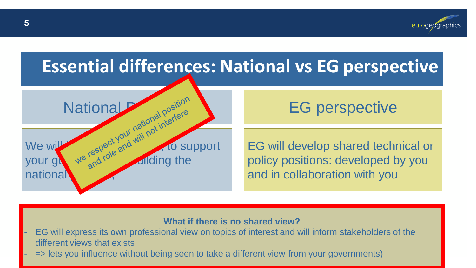

### **Essential differences: National vs EG perspective**



EG perspective

EG will develop shared technical or policy positions: developed by you and in collaboration with you.

#### **What if there is no shared view?**

- EG will express its own professional view on topics of interest and will inform stakeholders of the different views that exists
- => lets you influence without being seen to take a different view from your governments)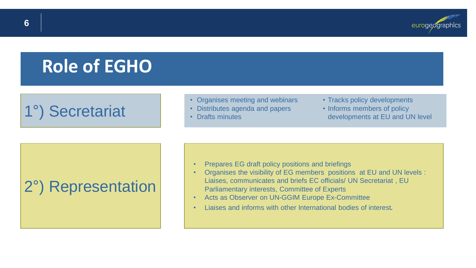

### **Role of EGHO**

### 1°) Secretariat

#### • Organises meeting and webinars

- Distributes agenda and papers
- Drafts minutes
- Tracks policy developments
- Informs members of policy developments at EU and UN level

### 2°) Representation

- Prepares EG draft policy positions and briefings
- Organises the visibility of EG members positions at EU and UN levels : Liaises, communicates and briefs EC officials/ UN Secretariat , EU Parliamentary interests, Committee of Experts
- Acts as Observer on UN-GGIM Europe Ex-Committee
- Liaises and informs with other International bodies of interest.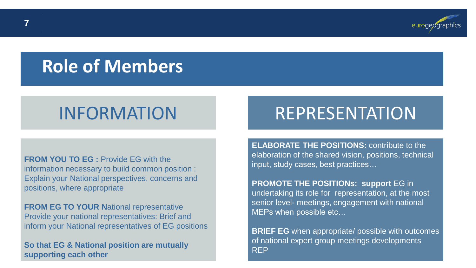

### **Role of Members**

**FROM YOU TO EG : Provide FG with the** information necessary to build common position : Explain your National perspectives, concerns and positions, where appropriate

**FROM EG TO YOUR National representative** Provide your national representatives: Brief and inform your National representatives of EG positions

**So that EG & National position are mutually supporting each other**

### INFORMATION REPRESENTATION

**ELABORATE THE POSITIONS:** contribute to the elaboration of the shared vision, positions, technical input, study cases, best practices…

**PROMOTE THE POSITIONs: support** EG in undertaking its role for representation, at the most senior level- meetings, engagement with national MEPs when possible etc…

**BRIEF EG** when appropriate/ possible with outcomes of national expert group meetings developments REP